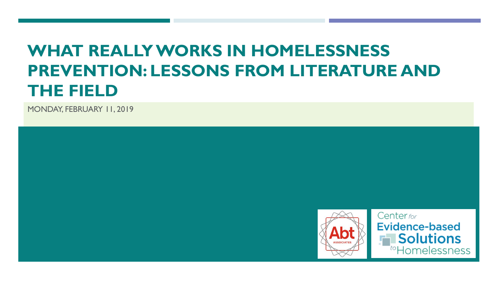### **WHAT REALLY WORKS IN HOMELESSNESS PREVENTION: LESSONS FROM LITERATURE AND THE FIELD**

MONDAY, FEBRUARY 11, 2019

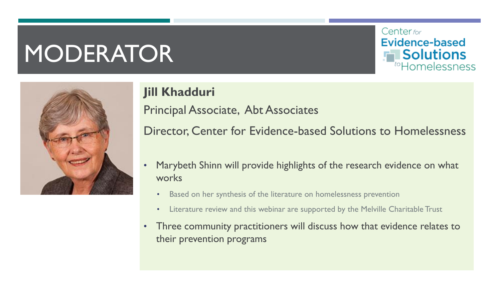# MODERATOR



### **Jill Khadduri**

Principal Associate, Abt Associates

Director, Center for Evidence-based Solutions to Homelessness

Center for

**Evidence-based** 

**Solutions** 

<sup>to</sup>Homelessness

- Marybeth Shinn will provide highlights of the research evidence on what works
	- Based on her synthesis of the literature on homelessness prevention
	- Literature review and this webinar are supported by the Melville Charitable Trust
- Three community practitioners will discuss how that evidence relates to their prevention programs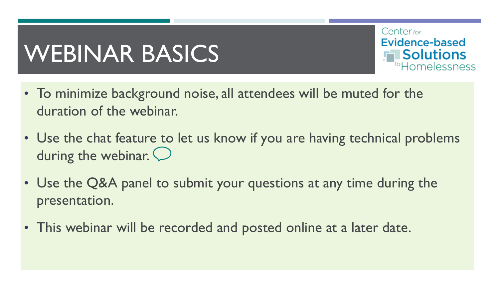# WEBINAR BASICS



- To minimize background noise, all attendees will be muted for the duration of the webinar.
- Use the chat feature to let us know if you are having technical problems during the webinar.  $\bigcirc$
- Use the Q&A panel to submit your questions at any time during the presentation.
- This webinar will be recorded and posted online at a later date.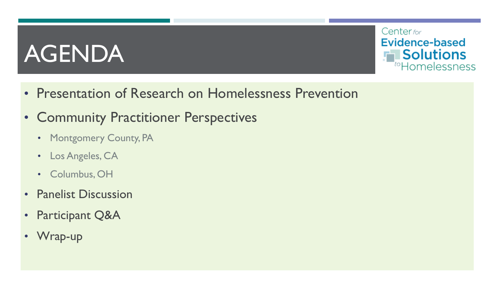# AGENDA



- Presentation of Research on Homelessness Prevention
- Community Practitioner Perspectives
	- Montgomery County, PA
	- Los Angeles, CA
	- Columbus, OH
- Panelist Discussion
- Participant Q&A
- Wrap-up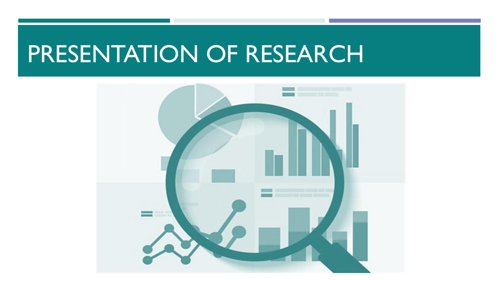### PRESENTATION OF RESEARCH

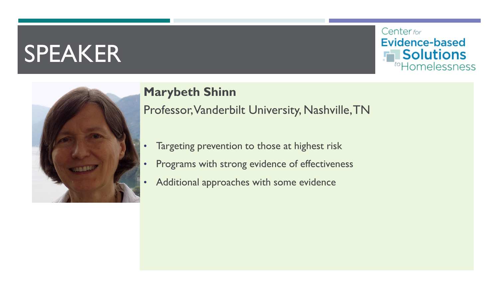

#### **Marybeth Shinn**

Professor, Vanderbilt University, Nashville, TN

- Targeting prevention to those at highest risk
- Programs with strong evidence of effectiveness
- Additional approaches with some evidence

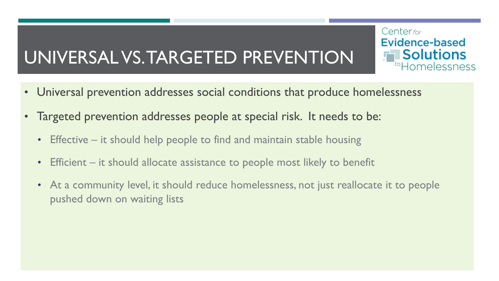### UNIVERSAL VS. TARGETED PREVENTION

• Universal prevention addresses social conditions that produce homelessness

Center for

Evidence-based

**Solutions** 

tomelessness

- Targeted prevention addresses people at special risk. It needs to be:
	- Effective it should help people to find and maintain stable housing
	- Efficient it should allocate assistance to people most likely to benefit
	- At a community level, it should reduce homelessness, not just reallocate it to people pushed down on waiting lists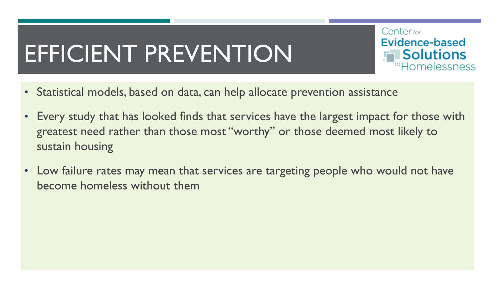# EFFICIENT PREVENTION

Center for **Evidence-based Solutions** <sup>to</sup>Homelessness

- Statistical models, based on data, can help allocate prevention assistance
- Every study that has looked finds that services have the largest impact for those with greatest need rather than those most "worthy" or those deemed most likely to sustain housing
- Low failure rates may mean that services are targeting people who would not have become homeless without them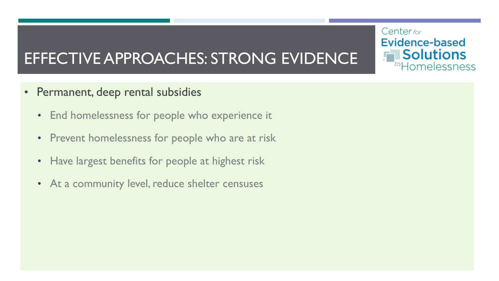### EFFECTIVE APPROACHES: STRONG EVIDENCE

- Permanent, deep rental subsidies
	- End homelessness for people who experience it
	- Prevent homelessness for people who are at risk
	- Have largest benefits for people at highest risk
	- At a community level, reduce shelter censuses

Center for **Evidence-based Solutions** toHomelessness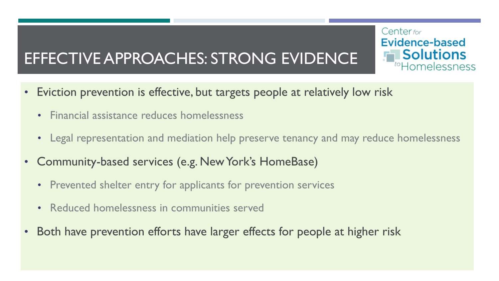### EFFECTIVE APPROACHES: STRONG EVIDENCE

- Eviction prevention is effective, but targets people at relatively low risk
	- Financial assistance reduces homelessness
	- Legal representation and mediation help preserve tenancy and may reduce homelessness

Center for

Evidence-based

**Solutions** 

tomelessness

- Community-based services (e.g. New York's HomeBase)
	- Prevented shelter entry for applicants for prevention services
	- Reduced homelessness in communities served
- Both have prevention efforts have larger effects for people at higher risk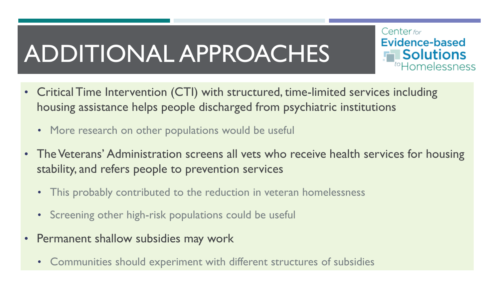# ADDITIONAL APPROACHES



- More research on other populations would be useful
- The Veterans' Administration screens all vets who receive health services for housing stability, and refers people to prevention services

Center for

**Evidence-based** 

**Solutions** 

toHomelessness

- This probably contributed to the reduction in veteran homelessness
- Screening other high-risk populations could be useful
- Permanent shallow subsidies may work
	- Communities should experiment with different structures of subsidies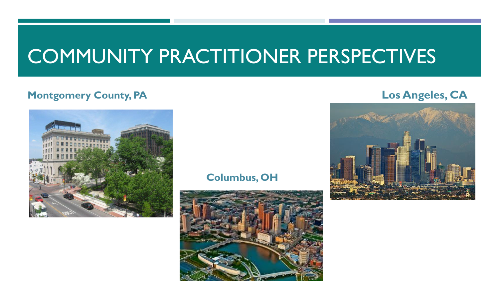### COMMUNITY PRACTITIONER PERSPECTIVES

#### **Montgomery County, PA Los Angeles, CA**



#### **Columbus, OH**



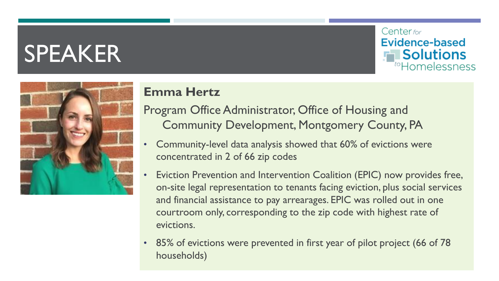



### **Emma Hertz**

- Program Office Administrator, Office of Housing and Community Development, Montgomery County, PA
- Community-level data analysis showed that 60% of evictions were concentrated in 2 of 66 zip codes
- Eviction Prevention and Intervention Coalition (EPIC) now provides free, on-site legal representation to tenants facing eviction, plus social services and financial assistance to pay arrearages. EPIC was rolled out in one courtroom only, corresponding to the zip code with highest rate of evictions.
- 85% of evictions were prevented in first year of pilot project (66 of 78 households)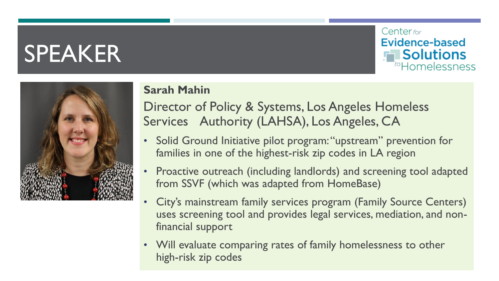



#### **Sarah Mahin**

Director of Policy & Systems, Los Angeles Homeless Services Authority (LAHSA), Los Angeles, CA

- Solid Ground Initiative pilot program: "upstream" prevention for families in one of the highest-risk zip codes in LA region
- Proactive outreach (including landlords) and screening tool adapted from SSVF (which was adapted from HomeBase)
- City's mainstream family services program (Family Source Centers) uses screening tool and provides legal services, mediation, and nonfinancial support
- Will evaluate comparing rates of family homelessness to other high-risk zip codes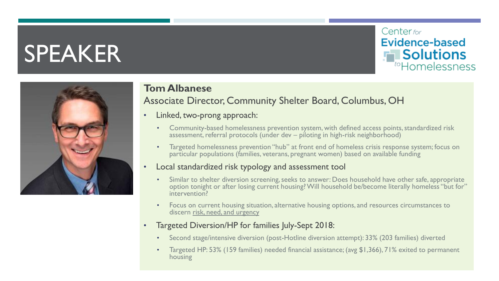



#### **Tom Albanese**

#### Associate Director, Community Shelter Board, Columbus, OH

- Linked, two-prong approach:
	- Community-based homelessness prevention system, with defined access points, standardized risk assessment, referral protocols (under dev – piloting in high-risk neighborhood)
	- Targeted homelessness prevention "hub" at front end of homeless crisis response system; focus on particular populations (families, veterans, pregnant women) based on available funding
- Local standardized risk typology and assessment tool
	- Similar to shelter diversion screening, seeks to answer: Does household have other safe, appropriate option tonight or after losing current housing? Will household be/become literally homeless "but for" intervention?
	- Focus on current housing situation, alternative housing options, and resources circumstances to discern risk, need, and urgency
- Targeted Diversion/HP for families July-Sept 2018:
	- Second stage/intensive diversion (post-Hotline diversion attempt): 33% (203 families) diverted
	- Targeted HP: 53% (159 families) needed financial assistance; (avg \$1,366), 71% exited to permanent housing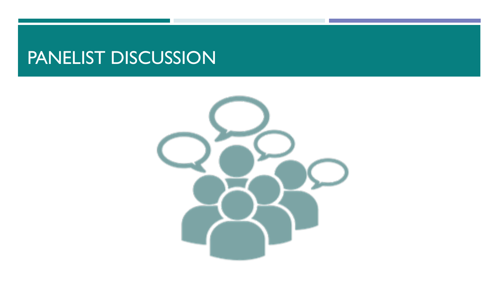### PANELIST DISCUSSION

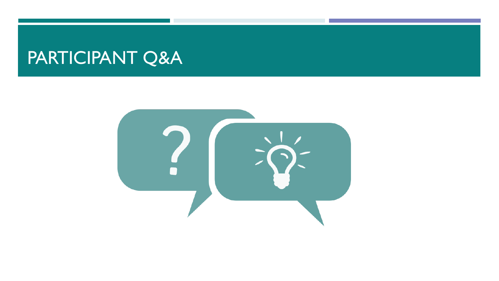### PARTICIPANT Q&A